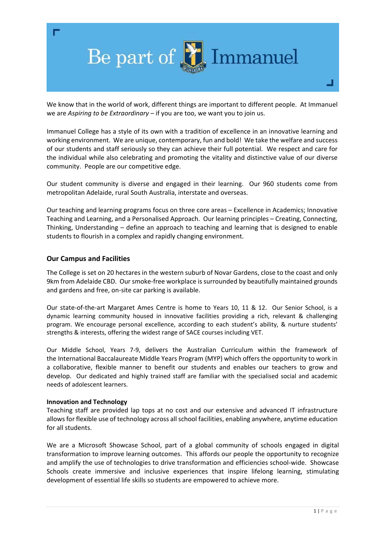

We know that in the world of work, different things are important to different people. At Immanuel we are *Aspiring to be Extraordinary* – if you are too, we want you to join us.

Immanuel College has a style of its own with a tradition of excellence in an innovative learning and working environment. We are unique, contemporary, fun and bold! We take the welfare and success of our students and staff seriously so they can achieve their full potential. We respect and care for the individual while also celebrating and promoting the vitality and distinctive value of our diverse community. People are our competitive edge.

Our student community is diverse and engaged in their learning. Our 960 students come from metropolitan Adelaide, rural South Australia, interstate and overseas.

Our teaching and learning programs focus on three core areas – Excellence in Academics; Innovative Teaching and Learning, and a Personalised Approach. Our learning principles – Creating, Connecting, Thinking, Understanding – define an approach to teaching and learning that is designed to enable students to flourish in a complex and rapidly changing environment.

## **Our Campus and Facilities**

The College is set on 20 hectares in the western suburb of Novar Gardens, close to the coast and only 9km from Adelaide CBD. Our smoke‐free workplace is surrounded by beautifully maintained grounds and gardens and free, on‐site car parking is available.

Our state-of-the-art Margaret Ames Centre is home to Years 10, 11 & 12. Our Senior School, is a dynamic learning community housed in innovative facilities providing a rich, relevant & challenging program. We encourage personal excellence, according to each student's ability, & nurture students' strengths & interests, offering the widest range of SACE courses including VET.

Our Middle School, Years 7‐9, delivers the Australian Curriculum within the framework of the International Baccalaureate Middle Years Program (MYP) which offers the opportunity to work in a collaborative, flexible manner to benefit our students and enables our teachers to grow and develop. Our dedicated and highly trained staff are familiar with the specialised social and academic needs of adolescent learners.

## **Innovation and Technology**

Teaching staff are provided lap tops at no cost and our extensive and advanced IT infrastructure allows for flexible use of technology across all school facilities, enabling anywhere, anytime education for all students.

We are a Microsoft Showcase School, part of a global community of schools engaged in digital transformation to improve learning outcomes. This affords our people the opportunity to recognize and amplify the use of technologies to drive transformation and efficiencies school‐wide. Showcase Schools create immersive and inclusive experiences that inspire lifelong learning, stimulating development of essential life skills so students are empowered to achieve more.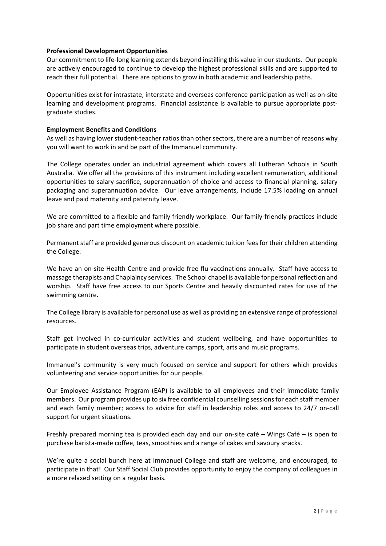## **Professional Development Opportunities**

Our commitment to life‐long learning extends beyond instilling this value in our students. Our people are actively encouraged to continue to develop the highest professional skills and are supported to reach their full potential. There are options to grow in both academic and leadership paths.

Opportunities exist for intrastate, interstate and overseas conference participation as well as on‐site learning and development programs. Financial assistance is available to pursue appropriate postgraduate studies.

## **Employment Benefits and Conditions**

As well as having lower student‐teacher ratios than other sectors, there are a number of reasons why you will want to work in and be part of the Immanuel community.

The College operates under an industrial agreement which covers all Lutheran Schools in South Australia. We offer all the provisions of this instrument including excellent remuneration, additional opportunities to salary sacrifice, superannuation of choice and access to financial planning, salary packaging and superannuation advice. Our leave arrangements, include 17.5% loading on annual leave and paid maternity and paternity leave.

We are committed to a flexible and family friendly workplace. Our family-friendly practices include job share and part time employment where possible.

Permanent staff are provided generous discount on academic tuition fees for their children attending the College.

We have an on-site Health Centre and provide free flu vaccinations annually. Staff have access to massage therapists and Chaplaincy services. The School chapel is available for personal reflection and worship. Staff have free access to our Sports Centre and heavily discounted rates for use of the swimming centre.

The College library is available for personal use as well as providing an extensive range of professional resources.

Staff get involved in co-curricular activities and student wellbeing, and have opportunities to participate in student overseas trips, adventure camps, sport, arts and music programs.

Immanuel's community is very much focused on service and support for others which provides volunteering and service opportunities for our people.

Our Employee Assistance Program (EAP) is available to all employees and their immediate family members. Our program provides up to six free confidential counselling sessions for each staff member and each family member; access to advice for staff in leadership roles and access to 24/7 on-call support for urgent situations.

Freshly prepared morning tea is provided each day and our on‐site café – Wings Café – is open to purchase barista‐made coffee, teas, smoothies and a range of cakes and savoury snacks.

We're quite a social bunch here at Immanuel College and staff are welcome, and encouraged, to participate in that! Our Staff Social Club provides opportunity to enjoy the company of colleagues in a more relaxed setting on a regular basis.